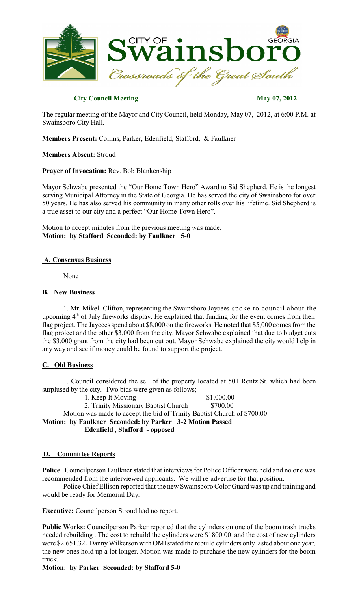

# **City Council Meeting May 07, 2012**

The regular meeting of the Mayor and City Council, held Monday, May 07, 2012, at 6:00 P.M. at Swainsboro City Hall.

**Members Present:** Collins, Parker, Edenfield, Stafford, & Faulkner

**Members Absent:** Stroud

**Prayer of Invocation:** Rev. Bob Blankenship

Mayor Schwabe presented the "Our Home Town Hero" Award to Sid Shepherd. He is the longest serving Municipal Attorney in the State of Georgia. He has served the city of Swainsboro for over 50 years. He has also served his community in many other rolls over his lifetime. Sid Shepherd is a true asset to our city and a perfect "Our Home Town Hero".

Motion to accept minutes from the previous meeting was made. **Motion: by Stafford Seconded: by Faulkner 5-0**

### **A. Consensus Business**

None

### **B. New Business**

1. Mr. Mikell Clifton, representing the Swainsboro Jaycees spoke to council about the upcoming 4<sup>th</sup> of July fireworks display. He explained that funding for the event comes from their flag project. The Jaycees spend about \$8,000 on the fireworks. He noted that \$5,000 comes from the flag project and the other \$3,000 from the city. Mayor Schwabe explained that due to budget cuts the \$3,000 grant from the city had been cut out. Mayor Schwabe explained the city would help in any way and see if money could be found to support the project.

### **C. Old Business**

1. Council considered the sell of the property located at 501 Rentz St. which had been surplused by the city. Two bids were given as follows;

1. Keep It Moving \$1,000.00 2. Trinity Missionary Baptist Church \$700.00 Motion was made to accept the bid of Trinity Baptist Church of \$700.00 **Motion: by Faulkner Seconded: by Parker 3-2 Motion Passed Edenfield , Stafford - opposed**

### **D. Committee Reports**

Police: Councilperson Faulkner stated that interviews for Police Officer were held and no one was recommended from the interviewed applicants. We will re-advertise for that position.

Police Chief Ellison reported that the new Swainsboro Color Guard was up and training and would be ready for Memorial Day.

**Executive:** Councilperson Stroud had no report.

**Public Works:** Councilperson Parker reported that the cylinders on one of the boom trash trucks needed rebuilding . The cost to rebuild the cylinders were \$1800.00 and the cost of new cylinders were \$2,651.32. Danny Wilkerson with OMI stated the rebuild cylinders only lasted about one year, the new ones hold up a lot longer. Motion was made to purchase the new cylinders for the boom truck.

# **Motion: by Parker Seconded: by Stafford 5-0**